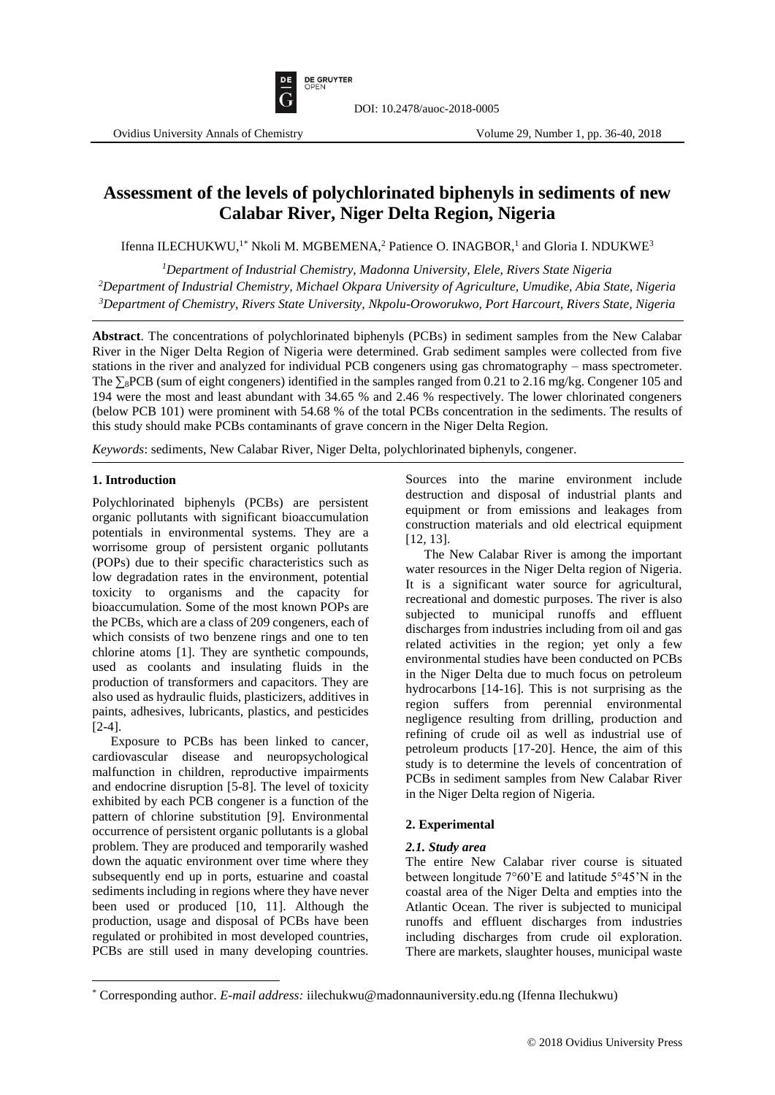

# **Assessment of the levels of polychlorinated biphenyls in sediments of new Calabar River, Niger Delta Region, Nigeria**

Ifenna ILECHUKWU,<sup>1\*</sup> Nkoli M. MGBEMENA,<sup>2</sup> Patience O. INAGBOR,<sup>1</sup> and Gloria I. NDUKWE<sup>3</sup>

*<sup>1</sup>Department of Industrial Chemistry, Madonna University, Elele, Rivers State Nigeria <sup>2</sup>Department of Industrial Chemistry, Michael Okpara University of Agriculture, Umudike, Abia State, Nigeria <sup>3</sup>Department of Chemistry, Rivers State University, Nkpolu-Oroworukwo, Port Harcourt, Rivers State, Nigeria*

**Abstract**. The concentrations of polychlorinated biphenyls (PCBs) in sediment samples from the New Calabar River in the Niger Delta Region of Nigeria were determined. Grab sediment samples were collected from five stations in the river and analyzed for individual PCB congeners using gas chromatography – mass spectrometer. The ∑<sub>8</sub>PCB (sum of eight congeners) identified in the samples ranged from 0.21 to 2.16 mg/kg. Congener 105 and 194 were the most and least abundant with 34.65 % and 2.46 % respectively. The lower chlorinated congeners (below PCB 101) were prominent with 54.68 % of the total PCBs concentration in the sediments. The results of this study should make PCBs contaminants of grave concern in the Niger Delta Region.

*Keywords*: sediments, New Calabar River, Niger Delta, polychlorinated biphenyls, congener.

## **1. Introduction**

 $\overline{\phantom{a}}$ 

Polychlorinated biphenyls (PCBs) are persistent organic pollutants with significant bioaccumulation potentials in environmental systems. They are a worrisome group of persistent organic pollutants (POPs) due to their specific characteristics such as low degradation rates in the environment, potential toxicity to organisms and the capacity for bioaccumulation. Some of the most known POPs are the PCBs, which are a class of 209 congeners, each of which consists of two benzene rings and one to ten chlorine atoms [1]. They are synthetic compounds, used as coolants and insulating fluids in the production of transformers and capacitors. They are also used as hydraulic fluids, plasticizers, additives in paints, adhesives, lubricants, plastics, and pesticides [2-4].

Exposure to PCBs has been linked to cancer, cardiovascular disease and neuropsychological malfunction in children, reproductive impairments and endocrine disruption [5-8]. The level of toxicity exhibited by each PCB congener is a function of the pattern of chlorine substitution [9]. Environmental occurrence of persistent organic pollutants is a global problem. They are produced and temporarily washed down the aquatic environment over time where they subsequently end up in ports, estuarine and coastal sediments including in regions where they have never been used or produced [10, 11]. Although the production, usage and disposal of PCBs have been regulated or prohibited in most developed countries, PCBs are still used in many developing countries. Sources into the marine environment include destruction and disposal of industrial plants and equipment or from emissions and leakages from construction materials and old electrical equipment [12, 13].

The New Calabar River is among the important water resources in the Niger Delta region of Nigeria. It is a significant water source for agricultural, recreational and domestic purposes. The river is also subjected to municipal runoffs and effluent discharges from industries including from oil and gas related activities in the region; yet only a few environmental studies have been conducted on PCBs in the Niger Delta due to much focus on petroleum hydrocarbons [14-16]. This is not surprising as the region suffers from perennial environmental negligence resulting from drilling, production and refining of crude oil as well as industrial use of petroleum products [17-20]. Hence, the aim of this study is to determine the levels of concentration of PCBs in sediment samples from New Calabar River in the Niger Delta region of Nigeria.

## **2. Experimental**

## *2.1. Study area*

The entire New Calabar river course is situated between longitude 7°60'E and latitude 5°45'N in the coastal area of the Niger Delta and empties into the Atlantic Ocean. The river is subjected to municipal runoffs and effluent discharges from industries including discharges from crude oil exploration. There are markets, slaughter houses, municipal waste

<sup>\*</sup> Corresponding author. *E-mail address:* iilechukwu@madonnauniversity.edu.ng (Ifenna Ilechukwu)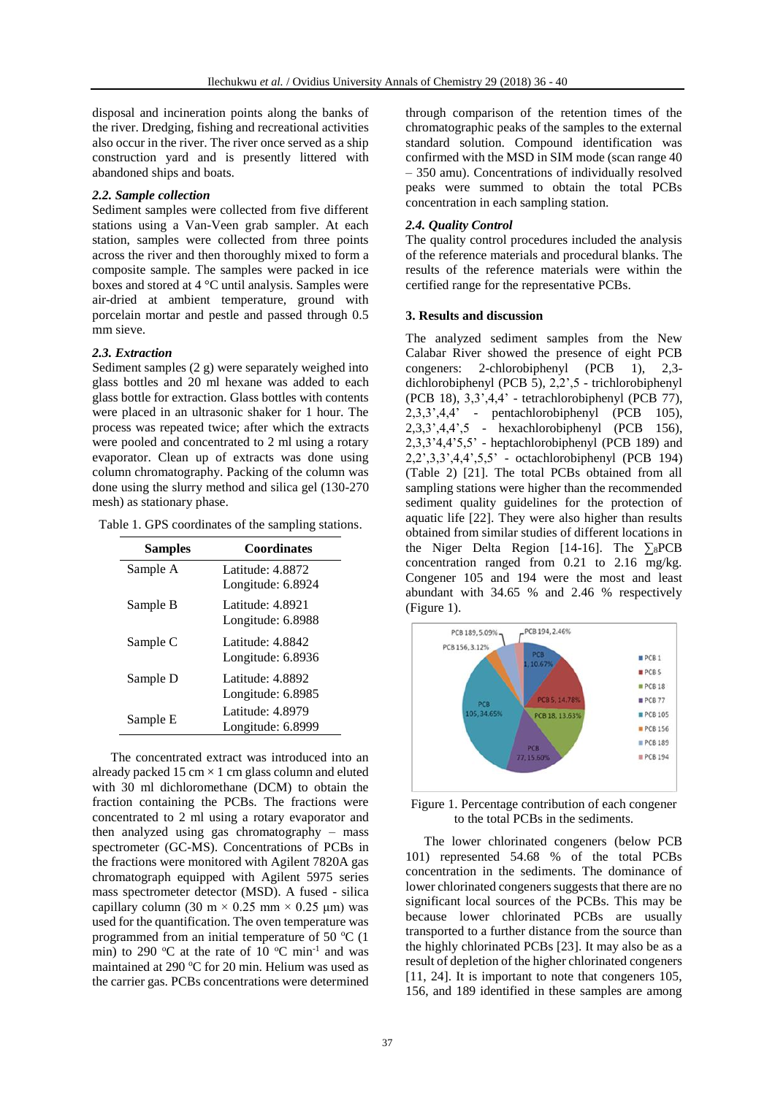disposal and incineration points along the banks of the river. Dredging, fishing and recreational activities also occur in the river. The river once served as a ship construction yard and is presently littered with abandoned ships and boats.

#### *2.2. Sample collection*

Sediment samples were collected from five different stations using a Van-Veen grab sampler. At each station, samples were collected from three points across the river and then thoroughly mixed to form a composite sample. The samples were packed in ice boxes and stored at 4 °C until analysis. Samples were air-dried at ambient temperature, ground with porcelain mortar and pestle and passed through 0.5 mm sieve.

#### *2.3. Extraction*

Sediment samples (2 g) were separately weighed into glass bottles and 20 ml hexane was added to each glass bottle for extraction. Glass bottles with contents were placed in an ultrasonic shaker for 1 hour. The process was repeated twice; after which the extracts were pooled and concentrated to 2 ml using a rotary evaporator. Clean up of extracts was done using column chromatography. Packing of the column was done using the slurry method and silica gel (130-270 mesh) as stationary phase.

Table 1. GPS coordinates of the sampling stations.

| <b>Coordinates</b>                      |
|-----------------------------------------|
| Latitude: $4.8872$<br>Longitude: 6.8924 |
| Latitude: 4.8921<br>Longitude: 6.8988   |
| Latitude: 4.8842<br>Longitude: 6.8936   |
| Latitude: 4.8892<br>Longitude: 6.8985   |
| Latitude: 4.8979<br>Longitude: 6.8999   |
|                                         |

The concentrated extract was introduced into an already packed 15 cm  $\times$  1 cm glass column and eluted with 30 ml dichloromethane (DCM) to obtain the fraction containing the PCBs. The fractions were concentrated to 2 ml using a rotary evaporator and then analyzed using gas chromatography – mass spectrometer (GC-MS). Concentrations of PCBs in the fractions were monitored with Agilent 7820A gas chromatograph equipped with Agilent 5975 series mass spectrometer detector (MSD). A fused - silica capillary column (30 m  $\times$  0.25 mm  $\times$  0.25 µm) was used for the quantification. The oven temperature was programmed from an initial temperature of 50  $\mathrm{^{\circ}C}$  (1 min) to 290 °C at the rate of 10 °C min<sup>-1</sup> and was maintained at 290  $\mathrm{^{\circ}C}$  for 20 min. Helium was used as the carrier gas. PCBs concentrations were determined

through comparison of the retention times of the chromatographic peaks of the samples to the external standard solution. Compound identification was confirmed with the MSD in SIM mode (scan range 40 – 350 amu). Concentrations of individually resolved peaks were summed to obtain the total PCBs concentration in each sampling station.

#### *2.4. Quality Control*

The quality control procedures included the analysis of the reference materials and procedural blanks. The results of the reference materials were within the certified range for the representative PCBs.

#### **3. Results and discussion**

The analyzed sediment samples from the New Calabar River showed the presence of eight PCB congeners: 2-chlorobiphenyl (PCB 1), 2,3 dichlorobiphenyl (PCB 5), 2,2',5 - trichlorobiphenyl (PCB 18), 3,3',4,4' - tetrachlorobiphenyl (PCB 77), 2,3,3',4,4' - pentachlorobiphenyl (PCB 105), 2,3,3',4,4',5 - hexachlorobiphenyl (PCB 156), 2,3,3'4,4'5,5' - heptachlorobiphenyl (PCB 189) and 2,2',3,3',4,4',5,5' - octachlorobiphenyl (PCB 194) (Table 2) [21]. The total PCBs obtained from all sampling stations were higher than the recommended sediment quality guidelines for the protection of aquatic life [22]. They were also higher than results obtained from similar studies of different locations in the Niger Delta Region [14-16]. The  $\Sigma_8$ PCB concentration ranged from 0.21 to 2.16 mg/kg. Congener 105 and 194 were the most and least abundant with 34.65 % and 2.46 % respectively (Figure 1).



### Figure 1. Percentage contribution of each congener to the total PCBs in the sediments.

The lower chlorinated congeners (below PCB 101) represented 54.68 % of the total PCBs concentration in the sediments. The dominance of lower chlorinated congeners suggests that there are no significant local sources of the PCBs. This may be because lower chlorinated PCBs are usually transported to a further distance from the source than the highly chlorinated PCBs [23]. It may also be as a result of depletion of the higher chlorinated congeners [11, 24]. It is important to note that congeners 105, 156, and 189 identified in these samples are among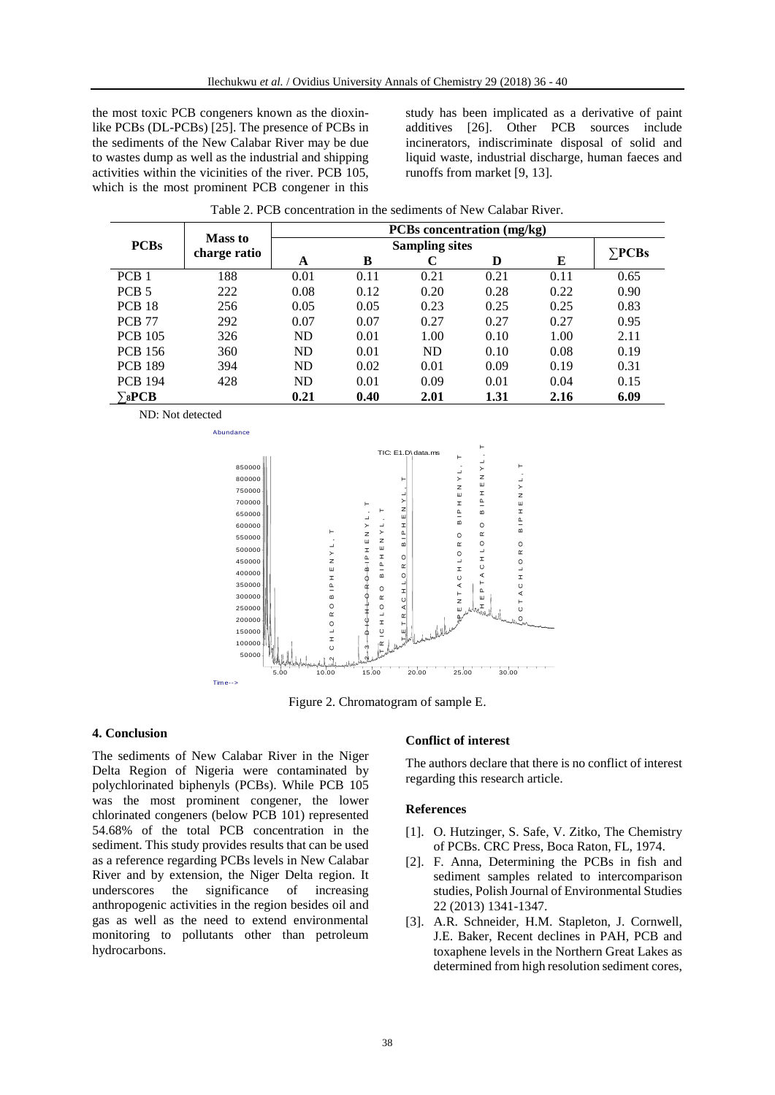the most toxic PCB congeners known as the dioxinlike PCBs (DL-PCBs) [25]. The presence of PCBs in the sediments of the New Calabar River may be due to wastes dump as well as the industrial and shipping activities within the vicinities of the river. PCB 105, which is the most prominent PCB congener in this

study has been implicated as a derivative of paint additives [26]. Other PCB sources include incinerators, indiscriminate disposal of solid and liquid waste, industrial discharge, human faeces and runoffs from market [9, 13].

|                                        | Mass to<br>charge ratio | <b>PCBs</b> concentration (mg/kg) |      |           |      |      |               |
|----------------------------------------|-------------------------|-----------------------------------|------|-----------|------|------|---------------|
| <b>PCBs</b>                            |                         | <b>Sampling sites</b>             |      |           |      |      | $\Sigma$ PCBs |
|                                        |                         | A                                 | B    |           | D    | E    |               |
| PCB <sub>1</sub>                       | 188                     | 0.01                              | 0.11 | 0.21      | 0.21 | 0.11 | 0.65          |
| PCB <sub>5</sub>                       | 222                     | 0.08                              | 0.12 | 0.20      | 0.28 | 0.22 | 0.90          |
| <b>PCB 18</b>                          | 256                     | 0.05                              | 0.05 | 0.23      | 0.25 | 0.25 | 0.83          |
| <b>PCB 77</b>                          | 292                     | 0.07                              | 0.07 | 0.27      | 0.27 | 0.27 | 0.95          |
| <b>PCB 105</b>                         | 326                     | <b>ND</b>                         | 0.01 | 1.00      | 0.10 | 1.00 | 2.11          |
| <b>PCB</b> 156                         | 360                     | <b>ND</b>                         | 0.01 | <b>ND</b> | 0.10 | 0.08 | 0.19          |
| <b>PCB 189</b>                         | 394                     | <b>ND</b>                         | 0.02 | 0.01      | 0.09 | 0.19 | 0.31          |
| <b>PCB 194</b>                         | 428                     | <b>ND</b>                         | 0.01 | 0.09      | 0.01 | 0.04 | 0.15          |
| $\mathcal{F}_{\mathbf{8}}\mathbf{PCB}$ |                         | 0.21                              | 0.40 | 2.01      | 1.31 | 2.16 | 6.09          |

Table 2. PCB concentration in the sediments of New Calabar River.

ND: Not detected



Figure 2. Chromatogram of sample E.

#### **4. Conclusion**

The sediments of New Calabar River in the Niger Delta Region of Nigeria were contaminated by polychlorinated biphenyls (PCBs). While PCB 105 was the most prominent congener, the lower chlorinated congeners (below PCB 101) represented 54.68% of the total PCB concentration in the sediment. This study provides results that can be used as a reference regarding PCBs levels in New Calabar River and by extension, the Niger Delta region. It underscores the significance of increasing anthropogenic activities in the region besides oil and gas as well as the need to extend environmental monitoring to pollutants other than petroleum hydrocarbons.

#### **Conflict of interest**

The authors declare that there is no conflict of interest regarding this research article.

#### **References**

- [1]. O. Hutzinger, S. Safe, V. Zitko, The Chemistry of PCBs. CRC Press, Boca Raton, FL, 1974.
- [2]. F. Anna, Determining the PCBs in fish and sediment samples related to intercomparison studies, Polish Journal of Environmental Studies 22 (2013) 1341-1347.
- [3]. A.R. Schneider, H.M. Stapleton, J. Cornwell, J.E. Baker, Recent declines in PAH, PCB and toxaphene levels in the Northern Great Lakes as determined from high resolution sediment cores,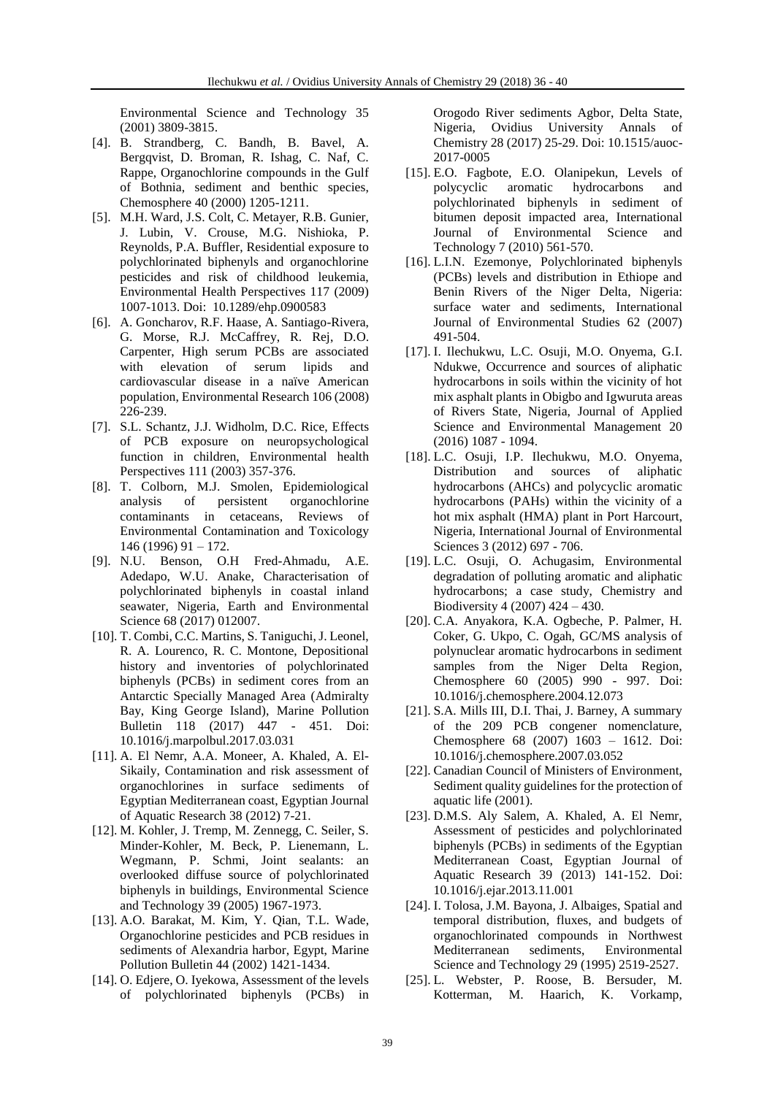Environmental Science and Technology 35 (2001) 3809-3815.

- [4]. B. Strandberg, C. Bandh, B. Bavel, A. Bergqvist, D. Broman, R. Ishag, C. Naf, C. Rappe, Organochlorine compounds in the Gulf of Bothnia, sediment and benthic species, Chemosphere 40 (2000) 1205-1211.
- [5]. M.H. Ward, J.S. Colt, C. Metayer, R.B. Gunier, J. Lubin, V. Crouse, M.G. Nishioka, P. Reynolds, P.A. Buffler, Residential exposure to polychlorinated biphenyls and organochlorine pesticides and risk of childhood leukemia, Environmental Health Perspectives 117 (2009) 1007-1013. Doi: 10.1289/ehp.0900583
- [6]. A. Goncharov, R.F. Haase, A. Santiago-Rivera, G. Morse, R.J. McCaffrey, R. Rej, D.O. Carpenter, High serum PCBs are associated with elevation of serum lipids and cardiovascular disease in a naïve American population, Environmental Research 106 (2008) 226-239.
- [7]. S.L. Schantz, J.J. Widholm, D.C. Rice, Effects of PCB exposure on neuropsychological function in children, Environmental health Perspectives 111 (2003) 357-376.
- [8]. T. Colborn, M.J. Smolen, Epidemiological analysis of persistent organochlorine contaminants in cetaceans, Reviews of Environmental Contamination and Toxicology 146 (1996) 91 – 172.
- [9]. N.U. Benson, O.H Fred-Ahmadu, A.E. Adedapo, W.U. Anake, Characterisation of polychlorinated biphenyls in coastal inland seawater, Nigeria, Earth and Environmental Science 68 (2017) 012007.
- [10]. T. Combi, C.C. Martins, S. Taniguchi, J. Leonel, R. A. Lourenco, R. C. Montone, Depositional history and inventories of polychlorinated biphenyls (PCBs) in sediment cores from an Antarctic Specially Managed Area (Admiralty Bay, King George Island), Marine Pollution Bulletin 118 (2017) 447 - 451. Doi: 10.1016/j.marpolbul.2017.03.031
- [11]. A. El Nemr, A.A. Moneer, A. Khaled, A. El-Sikaily, Contamination and risk assessment of organochlorines in surface sediments of Egyptian Mediterranean coast, Egyptian Journal of Aquatic Research 38 (2012) 7-21.
- [12]. M. Kohler, J. Tremp, M. Zennegg, C. Seiler, S. Minder-Kohler, M. Beck, P. Lienemann, L. Wegmann, P. Schmi, Joint sealants: an overlooked diffuse source of polychlorinated biphenyls in buildings, Environmental Science and Technology 39 (2005) 1967-1973.
- [13]. A.O. Barakat, M. Kim, Y. Qian, T.L. Wade, Organochlorine pesticides and PCB residues in sediments of Alexandria harbor, Egypt, Marine Pollution Bulletin 44 (2002) 1421-1434.
- [14]. O. Edjere, O. Iyekowa, Assessment of the levels of polychlorinated biphenyls (PCBs) in

Orogodo River sediments Agbor, Delta State, Nigeria, Ovidius University Annals of Chemistry 28 (2017) 25-29. Doi: 10.1515/auoc-2017-0005

- [15]. E.O. Fagbote, E.O. Olanipekun, Levels of aromatic hydrocarbons and polychlorinated biphenyls in sediment of bitumen deposit impacted area, International Journal of Environmental Science and Technology 7 (2010) 561-570.
- [16]. L.I.N. Ezemonye, Polychlorinated biphenyls (PCBs) levels and distribution in Ethiope and Benin Rivers of the Niger Delta, Nigeria: surface water and sediments, International Journal of Environmental Studies 62 (2007) 491-504.
- [17]. I. Ilechukwu, L.C. Osuji, M.O. Onyema, G.I. Ndukwe, Occurrence and sources of aliphatic hydrocarbons in soils within the vicinity of hot mix asphalt plants in Obigbo and Igwuruta areas of Rivers State, Nigeria, Journal of Applied Science and Environmental Management 20 (2016) 1087 - 1094.
- [18]. L.C. Osuji, I.P. Ilechukwu, M.O. Onyema, Distribution and sources of aliphatic hydrocarbons (AHCs) and polycyclic aromatic hydrocarbons (PAHs) within the vicinity of a hot mix asphalt (HMA) plant in Port Harcourt, Nigeria, International Journal of Environmental Sciences 3 (2012) 697 - 706.
- [19]. L.C. Osuji, O. Achugasim, Environmental degradation of polluting aromatic and aliphatic hydrocarbons; a case study, Chemistry and Biodiversity 4 (2007) 424 – 430.
- [20]. C.A. Anyakora, K.A. Ogbeche, P. Palmer, H. Coker, G. Ukpo, C. Ogah, GC/MS analysis of polynuclear aromatic hydrocarbons in sediment samples from the Niger Delta Region, Chemosphere 60 (2005) 990 - 997. Doi: 10.1016/j.chemosphere.2004.12.073
- [21]. S.A. Mills III, D.I. Thai, J. Barney, A summary of the 209 PCB congener nomenclature, Chemosphere 68 (2007) 1603 – 1612. Doi: 10.1016/j.chemosphere.2007.03.052
- [22]. Canadian Council of Ministers of Environment, Sediment quality guidelines for the protection of aquatic life (2001).
- [23]. D.M.S. Aly Salem, A. Khaled, A. El Nemr, Assessment of pesticides and polychlorinated biphenyls (PCBs) in sediments of the Egyptian Mediterranean Coast, Egyptian Journal of Aquatic Research 39 (2013) 141-152. Doi: 10.1016/j.ejar.2013.11.001
- [24]. I. Tolosa, J.M. Bayona, J. Albaiges, Spatial and temporal distribution, fluxes, and budgets of organochlorinated compounds in Northwest Mediterranean sediments, Environmental Science and Technology 29 (1995) 2519-2527.
- [25]. L. Webster, P. Roose, B. Bersuder, M. Kotterman, M. Haarich, K. Vorkamp,